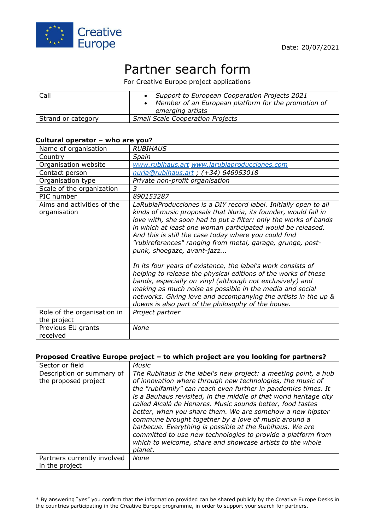

# Partner search form

For Creative Europe project applications

| Call               | • Support to European Cooperation Projects 2021<br>Member of an European platform for the promotion of<br>emerging artists |
|--------------------|----------------------------------------------------------------------------------------------------------------------------|
| Strand or category | <b>Small Scale Cooperation Projects</b>                                                                                    |

#### **Cultural operator – who are you?**

| Name of organisation                       | <b>RUBIHAUS</b>                                                                                                                                                                                                                                                                                                                                                                                                                                                                                                                                                                                                                                                                                                                                                                                                |
|--------------------------------------------|----------------------------------------------------------------------------------------------------------------------------------------------------------------------------------------------------------------------------------------------------------------------------------------------------------------------------------------------------------------------------------------------------------------------------------------------------------------------------------------------------------------------------------------------------------------------------------------------------------------------------------------------------------------------------------------------------------------------------------------------------------------------------------------------------------------|
| Country                                    | Spain                                                                                                                                                                                                                                                                                                                                                                                                                                                                                                                                                                                                                                                                                                                                                                                                          |
| Organisation website                       | www.rubihaus.art www.larubiaproducciones.com                                                                                                                                                                                                                                                                                                                                                                                                                                                                                                                                                                                                                                                                                                                                                                   |
| Contact person                             | nuria@rubihaus.art; (+34) 646953018                                                                                                                                                                                                                                                                                                                                                                                                                                                                                                                                                                                                                                                                                                                                                                            |
| Organisation type                          | Private non-profit organisation                                                                                                                                                                                                                                                                                                                                                                                                                                                                                                                                                                                                                                                                                                                                                                                |
| Scale of the organization                  | 3                                                                                                                                                                                                                                                                                                                                                                                                                                                                                                                                                                                                                                                                                                                                                                                                              |
| PIC number                                 | 890153287                                                                                                                                                                                                                                                                                                                                                                                                                                                                                                                                                                                                                                                                                                                                                                                                      |
| Aims and activities of the<br>organisation | LaRubiaProducciones is a DIY record label. Initially open to all<br>kinds of music proposals that Nuria, its founder, would fall in<br>love with, she soon had to put a filter: only the works of bands<br>in which at least one woman participated would be released.<br>And this is still the case today where you could find<br>"rubireferences" ranging from metal, garage, grunge, post-<br>punk, shoegaze, avant-jazz<br>In its four years of existence, the label's work consists of<br>helping to release the physical editions of the works of these<br>bands, especially on vinyl (although not exclusively) and<br>making as much noise as possible in the media and social<br>networks. Giving love and accompanying the artists in the up &<br>downs is also part of the philosophy of the house. |
| Role of the organisation in                | Project partner                                                                                                                                                                                                                                                                                                                                                                                                                                                                                                                                                                                                                                                                                                                                                                                                |
| the project                                |                                                                                                                                                                                                                                                                                                                                                                                                                                                                                                                                                                                                                                                                                                                                                                                                                |
| Previous EU grants<br>received             | None                                                                                                                                                                                                                                                                                                                                                                                                                                                                                                                                                                                                                                                                                                                                                                                                           |

#### **Proposed Creative Europe project – to which project are you looking for partners?**

| Sector or field                                   | <b>Music</b>                                                                                                                                                                                                                                                                                                                                                                                                                                                                                                                                                                                                                                                |
|---------------------------------------------------|-------------------------------------------------------------------------------------------------------------------------------------------------------------------------------------------------------------------------------------------------------------------------------------------------------------------------------------------------------------------------------------------------------------------------------------------------------------------------------------------------------------------------------------------------------------------------------------------------------------------------------------------------------------|
| Description or summary of<br>the proposed project | The Rubihaus is the label's new project: a meeting point, a hub<br>of innovation where through new technologies, the music of<br>the "rubifamily" can reach even further in pandemics times. It<br>is a Bauhaus revisited, in the middle of that world heritage city<br>called Alcalá de Henares. Music sounds better, food tastes<br>better, when you share them. We are somehow a new hipster<br>commune brought together by a love of music around a<br>barbecue. Everything is possible at the Rubihaus. We are<br>committed to use new technologies to provide a platform from<br>which to welcome, share and showcase artists to the whole<br>planet. |
| Partners currently involved<br>in the project     | None                                                                                                                                                                                                                                                                                                                                                                                                                                                                                                                                                                                                                                                        |